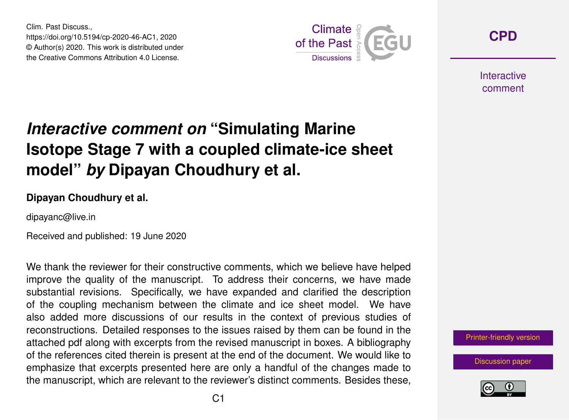Clim. Past Discuss., https://doi.org/10.5194/cp-2020-46-AC1, 2020 © Author(s) 2020. This work is distributed under the Creative Commons Attribution 4.0 License.



**[CPD](https://www.clim-past-discuss.net/)**

**Interactive** comment

## *Interactive comment on* **"Simulating Marine Isotope Stage 7 with a coupled climate-ice sheet model"** *by* **Dipayan Choudhury et al.**

## **Dipayan Choudhury et al.**

dipayanc@live.in

Received and published: 19 June 2020

We thank the reviewer for their constructive comments, which we believe have helped improve the quality of the manuscript. To address their concerns, we have made substantial revisions. Specifically, we have expanded and clarified the description of the coupling mechanism between the climate and ice sheet model. We have also added more discussions of our results in the context of previous studies of reconstructions. Detailed responses to the issues raised by them can be found in the attached pdf along with excerpts from the revised manuscript in boxes. A bibliography of the references cited therein is present at the end of the document. We would like to emphasize that excerpts presented here are only a handful of the changes made to the manuscript, which are relevant to the reviewer's distinct comments. Besides these,

[Printer-friendly version](https://www.clim-past-discuss.net/cp-2020-46/cp-2020-46-AC1-print.pdf)

[Discussion paper](https://www.clim-past-discuss.net/cp-2020-46)